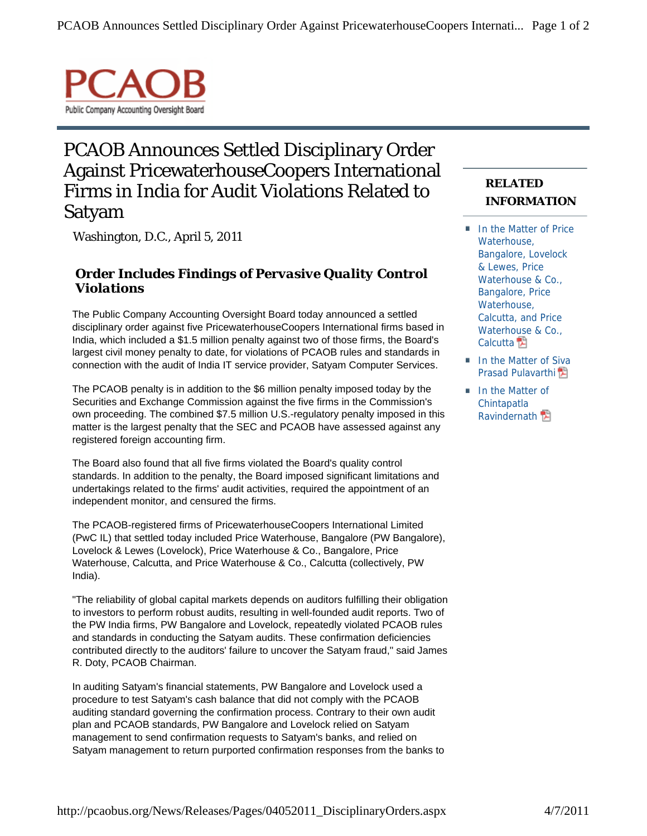

## PCAOB Announces Settled Disciplinary Order Against PricewaterhouseCoopers International Firms in India for Audit Violations Related to Satyam

Washington, D.C., April 5, 2011

*Order Includes Findings of Pervasive Quality Control Violations*

The Public Company Accounting Oversight Board today announced a settled disciplinary order against five PricewaterhouseCoopers International firms based in India, which included a \$1.5 million penalty against two of those firms, the Board's largest civil money penalty to date, for violations of PCAOB rules and standards in connection with the audit of India IT service provider, Satyam Computer Services.

The PCAOB penalty is in addition to the \$6 million penalty imposed today by the Securities and Exchange Commission against the five firms in the Commission's own proceeding. The combined \$7.5 million U.S.-regulatory penalty imposed in this matter is the largest penalty that the SEC and PCAOB have assessed against any registered foreign accounting firm.

The Board also found that all five firms violated the Board's quality control standards. In addition to the penalty, the Board imposed significant limitations and undertakings related to the firms' audit activities, required the appointment of an independent monitor, and censured the firms.

The PCAOB-registered firms of PricewaterhouseCoopers International Limited (PwC IL) that settled today included Price Waterhouse, Bangalore (PW Bangalore), Lovelock & Lewes (Lovelock), Price Waterhouse & Co., Bangalore, Price Waterhouse, Calcutta, and Price Waterhouse & Co., Calcutta (collectively, PW India).

"The reliability of global capital markets depends on auditors fulfilling their obligation to investors to perform robust audits, resulting in well-founded audit reports. Two of the PW India firms, PW Bangalore and Lovelock, repeatedly violated PCAOB rules and standards in conducting the Satyam audits. These confirmation deficiencies contributed directly to the auditors' failure to uncover the Satyam fraud," said James R. Doty, PCAOB Chairman.

In auditing Satyam's financial statements, PW Bangalore and Lovelock used a procedure to test Satyam's cash balance that did not comply with the PCAOB auditing standard governing the confirmation process. Contrary to their own audit plan and PCAOB standards, PW Bangalore and Lovelock relied on Satyam management to send confirmation requests to Satyam's banks, and relied on Satyam management to return purported confirmation responses from the banks to

## **RELATED INFORMATION**

- In the Matter of Price Waterhouse, Bangalore, Lovelock & Lewes, Price Waterhouse & Co., Bangalore, Price Waterhouse, Calcutta, and Price Waterhouse & Co., Calcutta<sup>1</sup>
- In the Matter of Siva Prasad Pulavarthi<sup></sup>
- In the Matter of Chintapatla Ravindernath